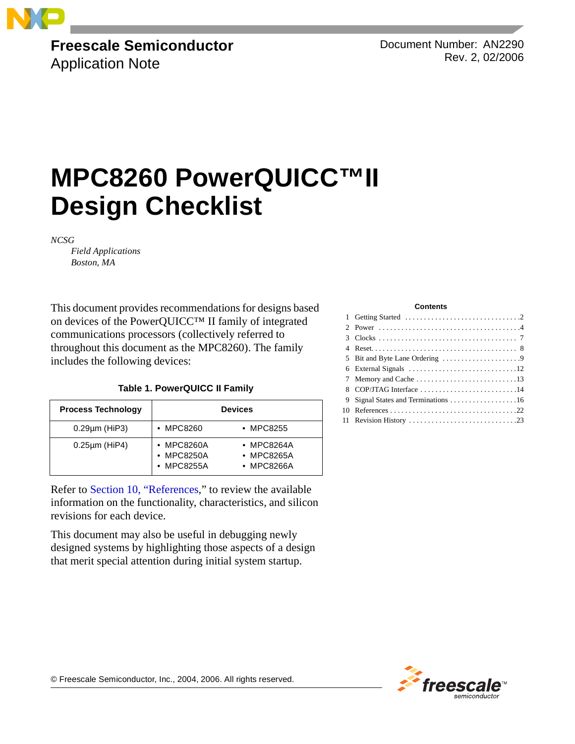

## **Freescale Semiconductor** Application Note

Document Number: AN2290 Rev. 2, 02/2006

# **MPC8260 PowerQUICC™II Design Checklist**

*NCSG* 

*Field Applications Boston, MA*

This document provides recommendations for designs based on devices of the PowerQUICC™ II family of integrated communications processors (collectively referred to throughout this document as the MPC8260). The family includes the following devices:

### **Table 1. PowerQUICC II Family**

| <b>Process Technology</b> | <b>Devices</b>                                         |                                                |
|---------------------------|--------------------------------------------------------|------------------------------------------------|
| $0.29 \mu m$ (HiP3)       | $\cdot$ MPC8260                                        | $\bullet$ MPC8255                              |
| $0.25 \mu m$ (HiP4)       | • MPC8260A<br>$\bullet$ MPC8250A<br>$\bullet$ MPC8255A | $\bullet$ MPC8264A<br>• MPC8265A<br>• MPC8266A |

Refer to [Section 10, "References,](#page-21-0)" to review the available information on the functionality, characteristics, and silicon revisions for each device.

This document may also be useful in debugging newly designed systems by highlighting those aspects of a design that merit special attention during initial system startup.

#### **Contents**

| 8 COP/JTAG Interface 14 |
|-------------------------|
|                         |
|                         |
|                         |
|                         |

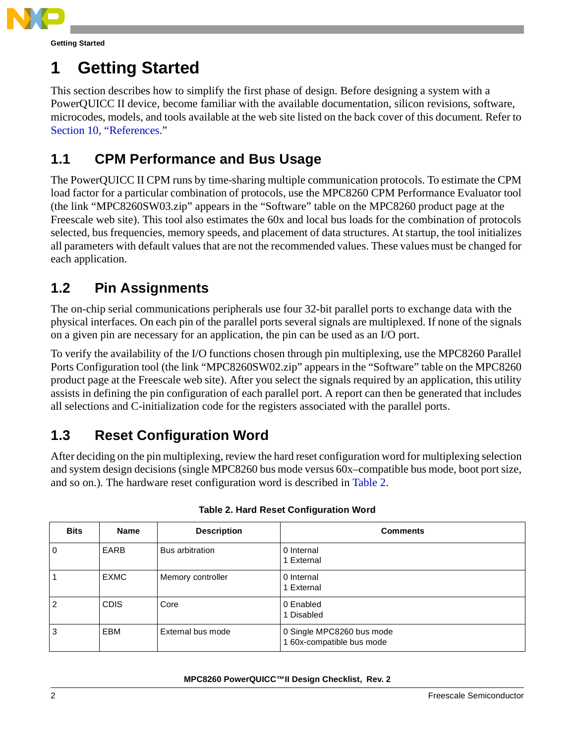

# **1 Getting Started**

This section describes how to simplify the first phase of design. Before designing a system with a PowerQUICC II device, become familiar with the available documentation, silicon revisions, software, microcodes, models, and tools available at the web site listed on the back cover of this document. Refer to [Section 10, "References.](#page-21-0)"

# **1.1 CPM Performance and Bus Usage**

The PowerQUICC II CPM runs by time-sharing multiple communication protocols. To estimate the CPM load factor for a particular combination of protocols, use the MPC8260 CPM Performance Evaluator tool (the link "MPC8260SW03.zip" appears in the "Software" table on the MPC8260 product page at the Freescale web site). This tool also estimates the 60x and local bus loads for the combination of protocols selected, bus frequencies, memory speeds, and placement of data structures. At startup, the tool initializes all parameters with default values that are not the recommended values. These values must be changed for each application.

# **1.2 Pin Assignments**

The on-chip serial communications peripherals use four 32-bit parallel ports to exchange data with the physical interfaces. On each pin of the parallel ports several signals are multiplexed. If none of the signals on a given pin are necessary for an application, the pin can be used as an I/O port.

To verify the availability of the I/O functions chosen through pin multiplexing, use the MPC8260 Parallel Ports Configuration tool (the link "MPC8260SW02.zip" appears in the "Software" table on the MPC8260 product page at the Freescale web site). After you select the signals required by an application, this utility assists in defining the pin configuration of each parallel port. A report can then be generated that includes all selections and C-initialization code for the registers associated with the parallel ports.

# **1.3 Reset Configuration Word**

After deciding on the pin multiplexing, review the hard reset configuration word for multiplexing selection and system design decisions (single MPC8260 bus mode versus 60x–compatible bus mode, boot port size, and so on.). The hardware reset configuration word is described in [Table 2.](#page-1-0)

<span id="page-1-0"></span>

| <b>Bits</b>    | <b>Name</b> | <b>Description</b> | <b>Comments</b>                                      |
|----------------|-------------|--------------------|------------------------------------------------------|
| $\overline{0}$ | EARB        | Bus arbitration    | 0 Internal<br>1 External                             |
|                | <b>EXMC</b> | Memory controller  | 0 Internal<br>1 External                             |
| 2              | <b>CDIS</b> | Core               | 0 Enabled<br>Disabled                                |
| 3              | EBM         | External bus mode  | 0 Single MPC8260 bus mode<br>60x-compatible bus mode |

### **Table 2. Hard Reset Configuration Word**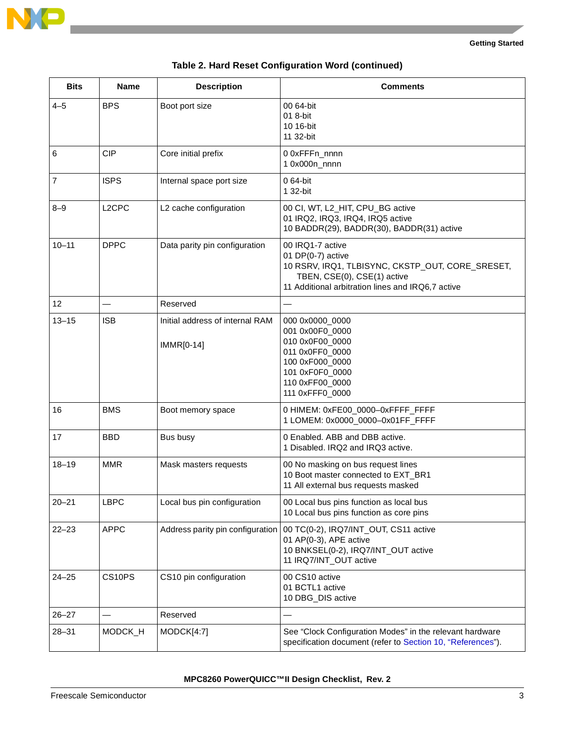

 $\overline{\phantom{a}}$ 

| <b>Bits</b>     | <b>Name</b>        | <b>Description</b>                            | <b>Comments</b>                                                                                                                                                               |
|-----------------|--------------------|-----------------------------------------------|-------------------------------------------------------------------------------------------------------------------------------------------------------------------------------|
| $4 - 5$         | <b>BPS</b>         | Boot port size                                | 00 64-bit<br>01 8-bit<br>10 16-bit<br>11 32-bit                                                                                                                               |
| 6               | <b>CIP</b>         | Core initial prefix                           | 00xFFFn_nnnn<br>10x000n_nnnn                                                                                                                                                  |
| $\overline{7}$  | <b>ISPS</b>        | Internal space port size                      | 064-bit<br>1 32-bit                                                                                                                                                           |
| $8 - 9$         | L <sub>2</sub> CPC | L2 cache configuration                        | 00 CI, WT, L2_HIT, CPU_BG active<br>01 IRQ2, IRQ3, IRQ4, IRQ5 active<br>10 BADDR(29), BADDR(30), BADDR(31) active                                                             |
| $10 - 11$       | <b>DPPC</b>        | Data parity pin configuration                 | 00 IRQ1-7 active<br>01 DP(0-7) active<br>10 RSRV, IRQ1, TLBISYNC, CKSTP_OUT, CORE_SRESET,<br>TBEN, CSE(0), CSE(1) active<br>11 Additional arbitration lines and IRQ6,7 active |
| 12 <sup>2</sup> |                    | Reserved                                      | $\overline{\phantom{0}}$                                                                                                                                                      |
| $13 - 15$       | <b>ISB</b>         | Initial address of internal RAM<br>IMMR[0-14] | 000 0x0000_0000<br>001 0x00F0_0000<br>010 0x0F00_0000<br>011 0x0FF0_0000<br>100 0xF000_0000<br>101 0xF0F0_0000<br>110 0xFF00_0000<br>111 0xFFF0_0000                          |
| 16              | <b>BMS</b>         | Boot memory space                             | 0 HIMEM: 0xFE00_0000-0xFFFF_FFFF<br>1 LOMEM: 0x0000_0000-0x01FF_FFFF                                                                                                          |
| 17              | <b>BBD</b>         | Bus busy                                      | 0 Enabled. ABB and DBB active.<br>1 Disabled, IRQ2 and IRQ3 active.                                                                                                           |
| $18 - 19$       | <b>MMR</b>         | Mask masters requests                         | 00 No masking on bus request lines<br>10 Boot master connected to EXT_BR1<br>11 All external bus requests masked                                                              |
| $20 - 21$       | <b>LBPC</b>        | Local bus pin configuration                   | 00 Local bus pins function as local bus<br>10 Local bus pins function as core pins                                                                                            |
| $22 - 23$       | <b>APPC</b>        | Address parity pin configuration              | 00 TC(0-2), IRQ7/INT_OUT, CS11 active<br>01 AP(0-3), APE active<br>10 BNKSEL(0-2), IRQ7/INT_OUT active<br>11 IRQ7/INT_OUT active                                              |
| $24 - 25$       | CS10PS             | CS10 pin configuration                        | 00 CS10 active<br>01 BCTL1 active<br>10 DBG_DIS active                                                                                                                        |
| $26 - 27$       |                    | Reserved                                      |                                                                                                                                                                               |
| $28 - 31$       | MODCK_H            | MODCK[4:7]                                    | See "Clock Configuration Modes" in the relevant hardware<br>specification document (refer to Section 10, "References").                                                       |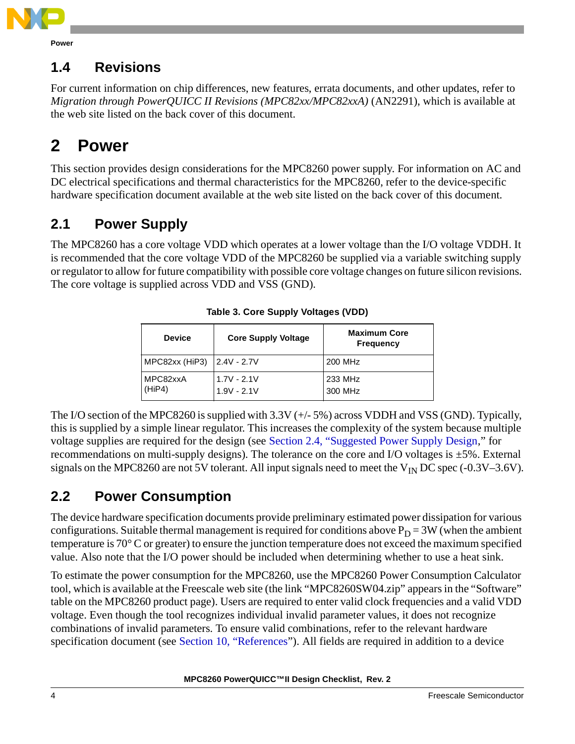

**Power**

## **1.4 Revisions**

For current information on chip differences, new features, errata documents, and other updates, refer to *Migration through PowerQUICC II Revisions (MPC82xx/MPC82xxA)* (AN2291), which is available at the web site listed on the back cover of this document.

# **2 Power**

This section provides design considerations for the MPC8260 power supply. For information on AC and DC electrical specifications and thermal characteristics for the MPC8260, refer to the device-specific hardware specification document available at the web site listed on the back cover of this document.

# **2.1 Power Supply**

The MPC8260 has a core voltage VDD which operates at a lower voltage than the I/O voltage VDDH. It is recommended that the core voltage VDD of the MPC8260 be supplied via a variable switching supply or regulator to allow for future compatibility with possible core voltage changes on future silicon revisions. The core voltage is supplied across VDD and VSS (GND).

| <b>Device</b>      | <b>Core Supply Voltage</b>     | <b>Maximum Core</b><br><b>Frequency</b> |
|--------------------|--------------------------------|-----------------------------------------|
| MPC82xx (HiP3)     | $12.4V - 2.7V$                 | 200 MHz                                 |
| MPC82xxA<br>(HiP4) | $1.7V - 2.1V$<br>$1.9V - 2.1V$ | 233 MHz<br>300 MHz                      |

**Table 3. Core Supply Voltages (VDD)**

The I/O section of the MPC8260 is supplied with 3.3V (+/- 5%) across VDDH and VSS (GND). Typically, this is supplied by a simple linear regulator. This increases the complexity of the system because multiple voltage supplies are required for the design (see [Section 2.4, "Suggested Power Supply Design,](#page-4-0)" for recommendations on multi-supply designs). The tolerance on the core and I/O voltages is ±5%. External signals on the MPC8260 are not 5V tolerant. All input signals need to meet the  $V_{IN}$  DC spec (-0.3V–3.6V).

# **2.2 Power Consumption**

The device hardware specification documents provide preliminary estimated power dissipation for various configurations. Suitable thermal management is required for conditions above  $P_D = 3W$  (when the ambient temperature is 70° C or greater) to ensure the junction temperature does not exceed the maximum specified value. Also note that the I/O power should be included when determining whether to use a heat sink.

To estimate the power consumption for the MPC8260, use the MPC8260 Power Consumption Calculator tool, which is available at the Freescale web site (the link "MPC8260SW04.zip" appears in the "Software" table on the MPC8260 product page). Users are required to enter valid clock frequencies and a valid VDD voltage. Even though the tool recognizes individual invalid parameter values, it does not recognize combinations of invalid parameters. To ensure valid combinations, refer to the relevant hardware specification document (see [Section 10, "References"](#page-21-0)). All fields are required in addition to a device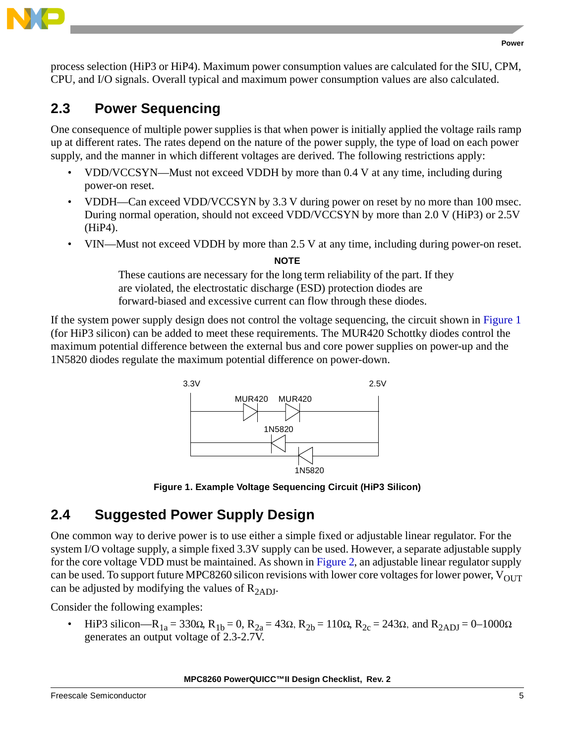

process selection (HiP3 or HiP4). Maximum power consumption values are calculated for the SIU, CPM, CPU, and I/O signals. Overall typical and maximum power consumption values are also calculated.

## **2.3 Power Sequencing**

One consequence of multiple power supplies is that when power is initially applied the voltage rails ramp up at different rates. The rates depend on the nature of the power supply, the type of load on each power supply, and the manner in which different voltages are derived. The following restrictions apply:

- VDD/VCCSYN—Must not exceed VDDH by more than 0.4 V at any time, including during power-on reset.
- VDDH—Can exceed VDD/VCCSYN by 3.3 V during power on reset by no more than 100 msec. During normal operation, should not exceed VDD/VCCSYN by more than 2.0 V (HiP3) or 2.5V (HiP4).
- VIN—Must not exceed VDDH by more than 2.5 V at any time, including during power-on reset.

### **NOTE**

These cautions are necessary for the long term reliability of the part. If they are violated, the electrostatic discharge (ESD) protection diodes are forward-biased and excessive current can flow through these diodes.

If the system power supply design does not control the voltage sequencing, the circuit shown in [Figure 1](#page-4-1) (for HiP3 silicon) can be added to meet these requirements. The MUR420 Schottky diodes control the maximum potential difference between the external bus and core power supplies on power-up and the 1N5820 diodes regulate the maximum potential difference on power-down.



**Figure 1. Example Voltage Sequencing Circuit (HiP3 Silicon)**

# <span id="page-4-1"></span><span id="page-4-0"></span>**2.4 Suggested Power Supply Design**

One common way to derive power is to use either a simple fixed or adjustable linear regulator. For the system I/O voltage supply, a simple fixed 3.3V supply can be used. However, a separate adjustable supply for the core voltage VDD must be maintained. As shown in [Figure 2](#page-5-0), an adjustable linear regulator supply can be used. To support future MPC8260 silicon revisions with lower core voltages for lower power,  $V_{\text{OUT}}$ can be adjusted by modifying the values of  $R<sub>2ADJ</sub>$ .

Consider the following examples:

HiP3 silicon—R<sub>1a</sub> = 330Ω, R<sub>1b</sub> = 0, R<sub>2a</sub> = 43Ω, R<sub>2b</sub> = 110Ω, R<sub>2c</sub> = 243Ω, and R<sub>2ADJ</sub> = 0–1000Ω generates an output voltage of 2.3-2.7V.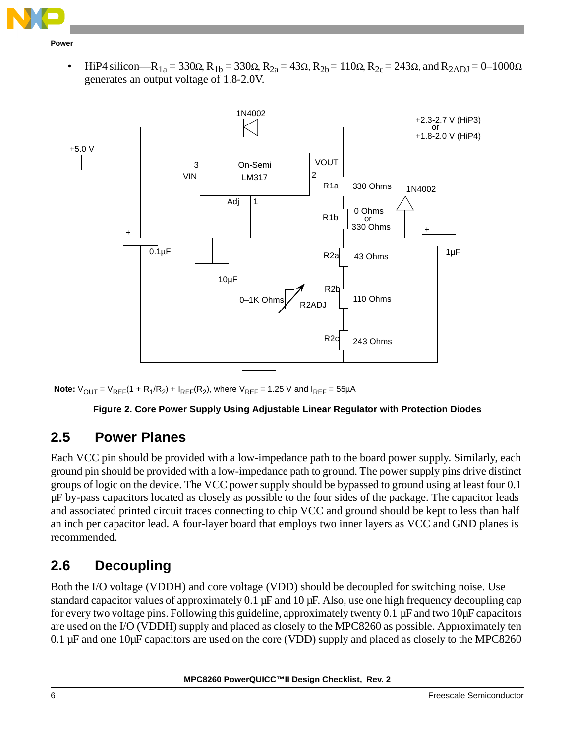

**Power**

HiP4 silicon—R<sub>1a</sub> = 330Ω, R<sub>1b</sub> = 330Ω, R<sub>2a</sub> = 43Ω, R<sub>2b</sub> = 110Ω, R<sub>2c</sub> = 243Ω, and R<sub>2ADJ</sub> = 0–1000Ω generates an output voltage of 1.8-2.0V.



<span id="page-5-0"></span>**Note:**  $V_{OUT} = V_{REF}(1 + R_1/R_2) + I_{REF}(R_2)$ , where  $V_{REF} = 1.25$  V and  $I_{REF} = 55 \mu A$ 

### **Figure 2. Core Power Supply Using Adjustable Linear Regulator with Protection Diodes**

### **2.5 Power Planes**

Each VCC pin should be provided with a low-impedance path to the board power supply. Similarly, each ground pin should be provided with a low-impedance path to ground. The power supply pins drive distinct groups of logic on the device. The VCC power supply should be bypassed to ground using at least four 0.1 µF by-pass capacitors located as closely as possible to the four sides of the package. The capacitor leads and associated printed circuit traces connecting to chip VCC and ground should be kept to less than half an inch per capacitor lead. A four-layer board that employs two inner layers as VCC and GND planes is recommended.

### **2.6 Decoupling**

Both the I/O voltage (VDDH) and core voltage (VDD) should be decoupled for switching noise. Use standard capacitor values of approximately 0.1  $\mu$ F and 10  $\mu$ F. Also, use one high frequency decoupling cap for every two voltage pins. Following this guideline, approximately twenty 0.1 µF and two 10µF capacitors are used on the I/O (VDDH) supply and placed as closely to the MPC8260 as possible. Approximately ten 0.1 µF and one 10µF capacitors are used on the core (VDD) supply and placed as closely to the MPC8260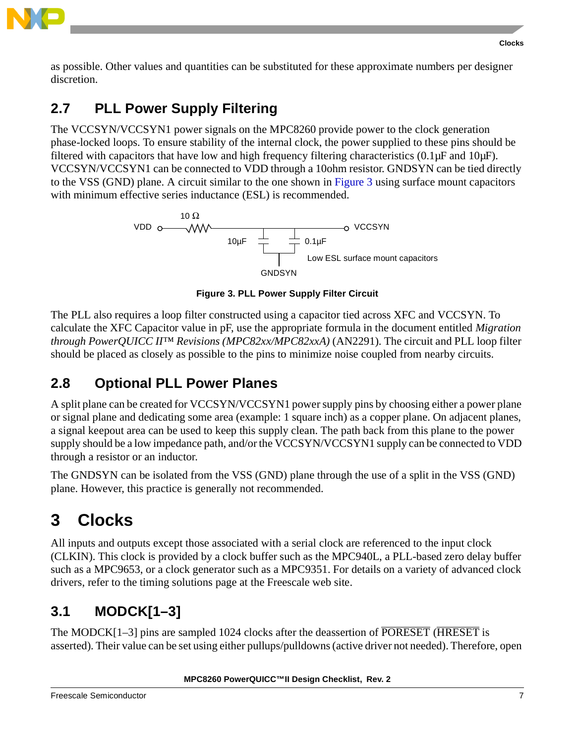

as possible. Other values and quantities can be substituted for these approximate numbers per designer discretion.

# <span id="page-6-1"></span>**2.7 PLL Power Supply Filtering**

The VCCSYN/VCCSYN1 power signals on the MPC8260 provide power to the clock generation phase-locked loops. To ensure stability of the internal clock, the power supplied to these pins should be filtered with capacitors that have low and high frequency filtering characteristics (0.1µF and 10µF). VCCSYN/VCCSYN1 can be connected to VDD through a 10ohm resistor. GNDSYN can be tied directly to the VSS (GND) plane. A circuit similar to the one shown in [Figure 3](#page-6-0) using surface mount capacitors with minimum effective series inductance (ESL) is recommended.



**Figure 3. PLL Power Supply Filter Circuit**

<span id="page-6-0"></span>The PLL also requires a loop filter constructed using a capacitor tied across XFC and VCCSYN. To calculate the XFC Capacitor value in pF, use the appropriate formula in the document entitled *Migration through PowerQUICC II™ Revisions (MPC82xx/MPC82xxA)* (AN2291). The circuit and PLL loop filter should be placed as closely as possible to the pins to minimize noise coupled from nearby circuits.

# **2.8 Optional PLL Power Planes**

A split plane can be created for VCCSYN/VCCSYN1 power supply pins by choosing either a power plane or signal plane and dedicating some area (example: 1 square inch) as a copper plane. On adjacent planes, a signal keepout area can be used to keep this supply clean. The path back from this plane to the power supply should be a low impedance path, and/or the VCCSYN/VCCSYN1 supply can be connected to VDD through a resistor or an inductor.

The GNDSYN can be isolated from the VSS (GND) plane through the use of a split in the VSS (GND) plane. However, this practice is generally not recommended.

# **3 Clocks**

All inputs and outputs except those associated with a serial clock are referenced to the input clock (CLKIN). This clock is provided by a clock buffer such as the MPC940L, a PLL-based zero delay buffer such as a MPC9653, or a clock generator such as a MPC9351. For details on a variety of advanced clock drivers, refer to the timing solutions page at the Freescale web site.

# **3.1 MODCK[1–3]**

The MODCK[1–3] pins are sampled 1024 clocks after the deassertion of PORESET (HRESET is asserted). Their value can be set using either pullups/pulldowns (active driver not needed). Therefore, open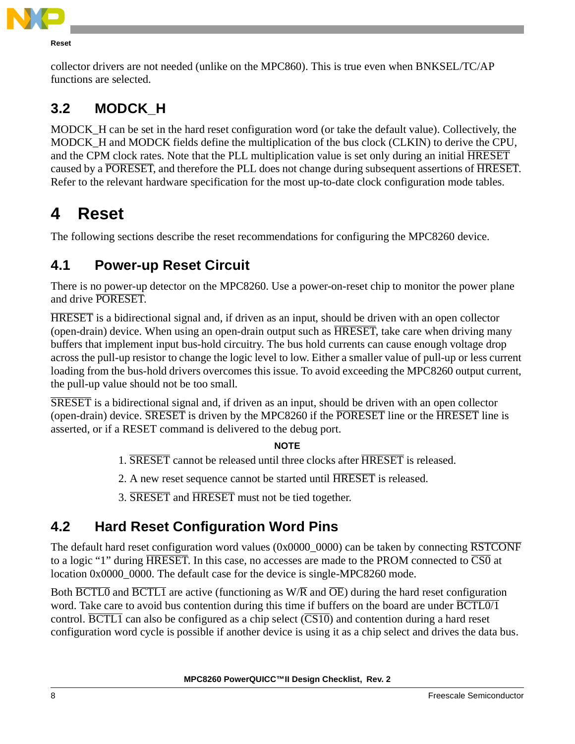

#### **Reset**

collector drivers are not needed (unlike on the MPC860). This is true even when BNKSEL/TC/AP functions are selected.

## **3.2 MODCK\_H**

MODCK\_H can be set in the hard reset configuration word (or take the default value). Collectively, the MODCK\_H and MODCK fields define the multiplication of the bus clock (CLKIN) to derive the CPU, and the CPM clock rates. Note that the PLL multiplication value is set only during an initial  $\overline{HRESET}$ caused by a PORESET, and therefore the PLL does not change during subsequent assertions of HRESET. Refer to the relevant hardware specification for the most up-to-date clock configuration mode tables.

# **4 Reset**

The following sections describe the reset recommendations for configuring the MPC8260 device.

## **4.1 Power-up Reset Circuit**

There is no power-up detector on the MPC8260. Use a power-on-reset chip to monitor the power plane and drive PORESET.

HRESET is a bidirectional signal and, if driven as an input, should be driven with an open collector (open-drain) device. When using an open-drain output such as **HRESET**, take care when driving many buffers that implement input bus-hold circuitry. The bus hold currents can cause enough voltage drop across the pull-up resistor to change the logic level to low. Either a smaller value of pull-up or less current loading from the bus-hold drivers overcomes this issue. To avoid exceeding the MPC8260 output current, the pull-up value should not be too small.

SRESET is a bidirectional signal and, if driven as an input, should be driven with an open collector (open-drain) device. SRESET is driven by the MPC8260 if the PORESET line or the HRESET line is asserted, or if a RESET command is delivered to the debug port.

### **NOTE**

- 1. **SRESET** cannot be released until three clocks after **HRESET** is released.
- 2. A new reset sequence cannot be started until **HRESET** is released.
- 3. SRESET and HRESET must not be tied together.

## **4.2 Hard Reset Configuration Word Pins**

The default hard reset configuration word values (0x0000\_0000) can be taken by connecting RSTCONF to a logic "1" during HRESET. In this case, no accesses are made to the PROM connected to CS0 at location 0x0000\_0000. The default case for the device is single-MPC8260 mode.

Both  $\overline{BCTL0}$  and  $\overline{BCTL1}$  are active (functioning as W/ $\overline{R}$  and  $\overline{OE}$ ) during the hard reset configuration word. Take care to avoid bus contention during this time if buffers on the board are under  $\overline{BCTL0/1}$ control.  $\overline{BCTL1}$  can also be configured as a chip select  $(\overline{CS10})$  and contention during a hard reset configuration word cycle is possible if another device is using it as a chip select and drives the data bus.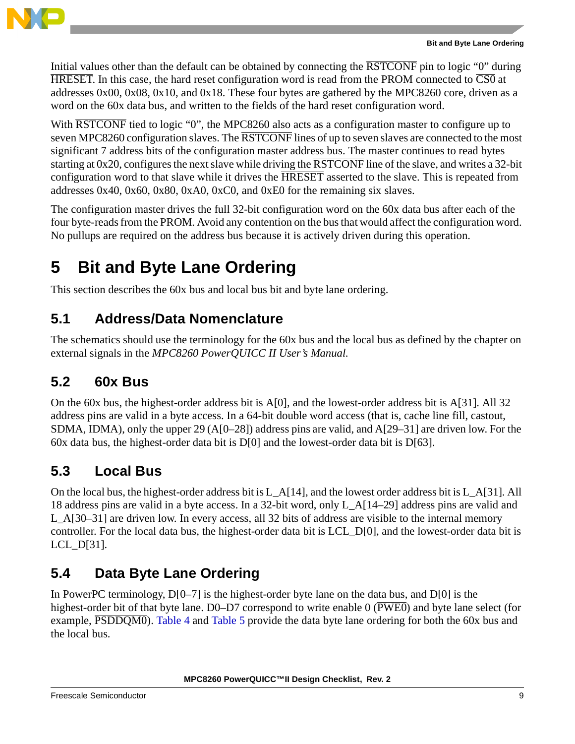

Initial values other than the default can be obtained by connecting the RSTCONF pin to logic "0" during  $HRESET$ . In this case, the hard reset configuration word is read from the PROM connected to  $\overline{CSO}$  at addresses 0x00, 0x08, 0x10, and 0x18. These four bytes are gathered by the MPC8260 core, driven as a word on the 60x data bus, and written to the fields of the hard reset configuration word.

With  $\overline{RSTCONF}$  tied to logic "0", the MPC8260 also acts as a configuration master to configure up to seven MPC8260 configuration slaves. The RSTCONF lines of up to seven slaves are connected to the most significant 7 address bits of the configuration master address bus. The master continues to read bytes starting at 0x20, configures the next slave while driving the RSTCONF line of the slave, and writes a 32-bit configuration word to that slave while it drives the HRESET asserted to the slave. This is repeated from addresses 0x40, 0x60, 0x80, 0xA0, 0xC0, and 0xE0 for the remaining six slaves.

The configuration master drives the full 32-bit configuration word on the 60x data bus after each of the four byte-reads from the PROM. Avoid any contention on the bus that would affect the configuration word. No pullups are required on the address bus because it is actively driven during this operation.

# **5 Bit and Byte Lane Ordering**

This section describes the 60x bus and local bus bit and byte lane ordering.

## **5.1 Address/Data Nomenclature**

The schematics should use the terminology for the 60x bus and the local bus as defined by the chapter on external signals in the *MPC8260 PowerQUICC II User's Manual*.

### **5.2 60x Bus**

On the 60x bus, the highest-order address bit is A[0], and the lowest-order address bit is A[31]. All 32 address pins are valid in a byte access. In a 64-bit double word access (that is, cache line fill, castout, SDMA, IDMA), only the upper 29 (A[0–28]) address pins are valid, and A[29–31] are driven low. For the 60x data bus, the highest-order data bit is D[0] and the lowest-order data bit is D[63].

### **5.3 Local Bus**

On the local bus, the highest-order address bit is L\_A[14], and the lowest order address bit is L\_A[31]. All 18 address pins are valid in a byte access. In a 32-bit word, only L\_A[14–29] address pins are valid and L\_A[30–31] are driven low. In every access, all 32 bits of address are visible to the internal memory controller. For the local data bus, the highest-order data bit is LCL\_D[0], and the lowest-order data bit is LCL\_D[31].

# **5.4 Data Byte Lane Ordering**

In PowerPC terminology,  $D[0-7]$  is the highest-order byte lane on the data bus, and  $D[0]$  is the highest-order bit of that byte lane.  $D0-D7$  correspond to write enable 0 ( $\overline{PWE0}$ ) and byte lane select (for example,  $\overline{PSDDQMO}$ ). [Table 4](#page-9-0) and [Table 5](#page-9-1) provide the data byte lane ordering for both the 60x bus and the local bus.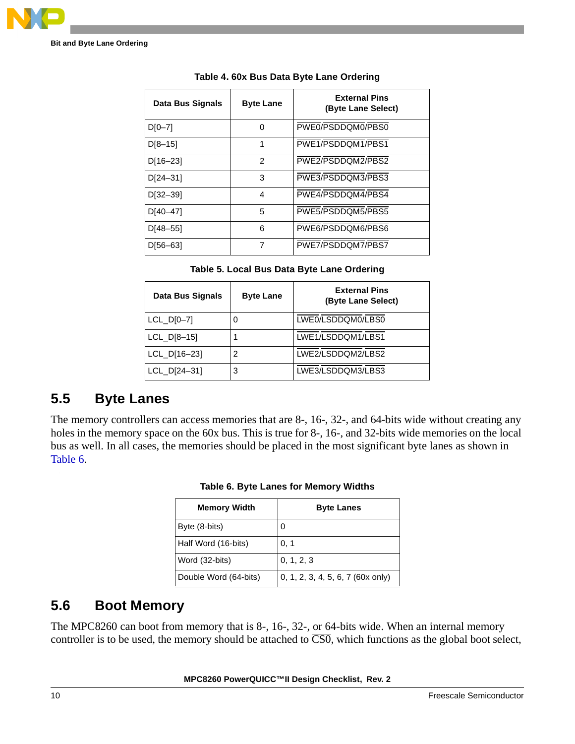<span id="page-9-0"></span>**Bit and Byte Lane Ordering**

| Data Bus Signals | <b>Byte Lane</b> | <b>External Pins</b><br>(Byte Lane Select) |
|------------------|------------------|--------------------------------------------|
| $D[0-7]$         | 0                | PWE0/PSDDQM0/PBS0                          |
| $D[8-15]$        | 1                | PWE1/PSDDQM1/PBS1                          |
| $D[16-23]$       | 2                | PWE2/PSDDQM2/PBS2                          |
| $D[24-31]$       | 3                | PWE3/PSDDQM3/PBS3                          |
| $D[32 - 39]$     | 4                | PWE4/PSDDQM4/PBS4                          |
| $D[40-47]$       | 5                | PWE5/PSDDQM5/PBS5                          |
| $D[48 - 55]$     | 6                | PWE6/PSDDQM6/PBS6                          |
| D[56-63]         | 7                | PWE7/PSDDQM7/PBS7                          |
|                  |                  |                                            |

**Table 4. 60x Bus Data Byte Lane Ordering**

|  | Table 5. Local Bus Data Byte Lane Ordering |
|--|--------------------------------------------|
|--|--------------------------------------------|

<span id="page-9-1"></span>

| Data Bus Signals | <b>Byte Lane</b> | <b>External Pins</b><br>(Byte Lane Select) |
|------------------|------------------|--------------------------------------------|
| $LCL_D[0-7]$     | 0                | LWE0/LSDDQM0/LBS0                          |
| $LCL$ $D[8-15]$  |                  | LWE1/LSDDQM1/LBS1                          |
| $LCL$ $D[16-23]$ | 2                | LWE2/LSDDQM2/LBS2                          |
| $LCL$ $D[24-31]$ | 3                | LWE3/LSDDQM3/LBS3                          |

### **5.5 Byte Lanes**

<span id="page-9-2"></span>The memory controllers can access memories that are 8-, 16-, 32-, and 64-bits wide without creating any holes in the memory space on the 60x bus. This is true for 8-, 16-, and 32-bits wide memories on the local bus as well. In all cases, the memories should be placed in the most significant byte lanes as shown in [Table 6.](#page-9-2)

| <b>Memory Width</b>   | <b>Byte Lanes</b>                 |
|-----------------------|-----------------------------------|
| Byte (8-bits)         | 0                                 |
| Half Word (16-bits)   | 0, 1                              |
| Word (32-bits)        | 0, 1, 2, 3                        |
| Double Word (64-bits) | 0, 1, 2, 3, 4, 5, 6, 7 (60x only) |

**Table 6. Byte Lanes for Memory Widths**

### **5.6 Boot Memory**

The MPC8260 can boot from memory that is 8-, 16-, 32-, or 64-bits wide. When an internal memory controller is to be used, the memory should be attached to  $\overline{CS0}$ , which functions as the global boot select,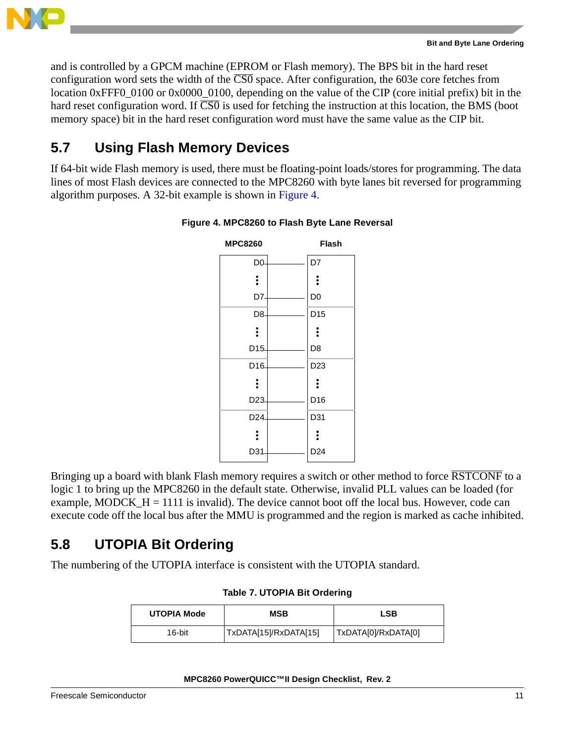

and is controlled by a GPCM machine (EPROM or Flash memory). The BPS bit in the hard reset configuration word sets the width of the  $\overline{CS0}$  space. After configuration, the 603e core fetches from location 0xFFF0\_0100 or 0x0000\_0100, depending on the value of the CIP (core initial prefix) bit in the hard reset configuration word. If  $\overline{CSO}$  is used for fetching the instruction at this location, the BMS (boot memory space) bit in the hard reset configuration word must have the same value as the CIP bit.

### **5.7 Using Flash Memory Devices**

<span id="page-10-0"></span>If 64-bit wide Flash memory is used, there must be floating-point loads/stores for programming. The data lines of most Flash devices are connected to the MPC8260 with byte lanes bit reversed for programming algorithm purposes. A 32-bit example is shown in [Figure 4](#page-10-0).



### **Figure 4. MPC8260 to Flash Byte Lane Reversal**

Bringing up a board with blank Flash memory requires a switch or other method to force RSTCONF to a logic 1 to bring up the MPC8260 in the default state. Otherwise, invalid PLL values can be loaded (for example, MODCK  $H = 1111$  is invalid). The device cannot boot off the local bus. However, code can execute code off the local bus after the MMU is programmed and the region is marked as cache inhibited.

### **5.8 UTOPIA Bit Ordering**

The numbering of the UTOPIA interface is consistent with the UTOPIA standard.

| <b>UTOPIA Mode</b> | <b>MSB</b>            | LSB                 |
|--------------------|-----------------------|---------------------|
| 16-bit             | TxDATA[15]/RxDATA[15] | TxDATA[0]/RxDATA[0] |

### **Table 7. UTOPIA Bit Ordering**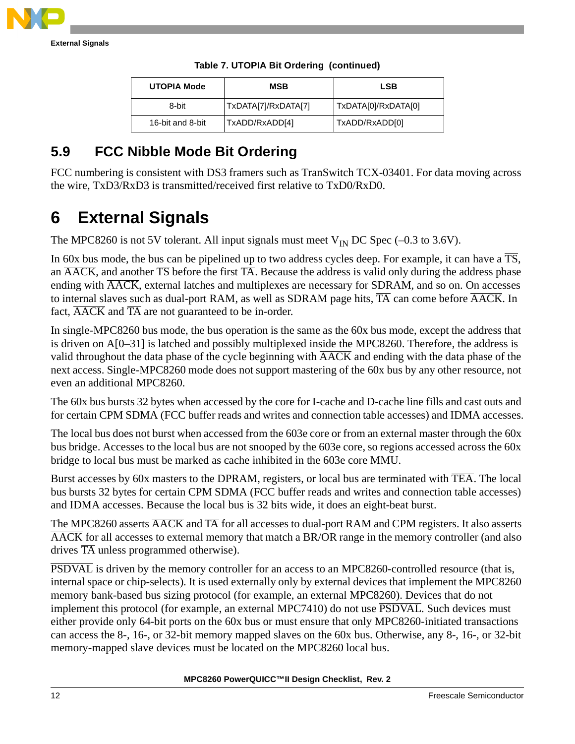

**External Signals**

| <b>UTOPIA Mode</b> | <b>MSB</b>          | <b>LSB</b>          |
|--------------------|---------------------|---------------------|
| 8-bit              | TxDATA[7]/RxDATA[7] | TxDATA[0]/RxDATA[0] |
| 16-bit and 8-bit   | TxADD/RxADD[4]      | TxADD/RxADD[0]      |

### **Table 7. UTOPIA Bit Ordering (continued)**

## **5.9 FCC Nibble Mode Bit Ordering**

FCC numbering is consistent with DS3 framers such as TranSwitch TCX-03401. For data moving across the wire, TxD3/RxD3 is transmitted/received first relative to TxD0/RxD0.

# **6 External Signals**

The MPC8260 is not 5V tolerant. All input signals must meet  $V_{IN}$  DC Spec (-0.3 to 3.6V).

In 60x bus mode, the bus can be pipelined up to two address cycles deep. For example, it can have a  $\overline{\text{TS}}$ , an  $\overline{\text{AACK}}$ , and another  $\overline{\text{TS}}$  before the first  $\overline{\text{TA}}$ . Because the address is valid only during the address phase ending with  $\overline{AACK}$ , external latches and multiplexes are necessary for SDRAM, and so on. On accesses to internal slaves such as dual-port RAM, as well as SDRAM page hits,  $\overline{TA}$  can come before  $\overline{AACK}$ . In fact,  $\overline{\text{AACK}}$  and  $\overline{\text{TA}}$  are not guaranteed to be in-order.

In single-MPC8260 bus mode, the bus operation is the same as the 60x bus mode, except the address that is driven on A[0–31] is latched and possibly multiplexed inside the MPC8260. Therefore, the address is valid throughout the data phase of the cycle beginning with AACK and ending with the data phase of the next access. Single-MPC8260 mode does not support mastering of the 60x bus by any other resource, not even an additional MPC8260.

The 60x bus bursts 32 bytes when accessed by the core for I-cache and D-cache line fills and cast outs and for certain CPM SDMA (FCC buffer reads and writes and connection table accesses) and IDMA accesses.

The local bus does not burst when accessed from the 603e core or from an external master through the 60x bus bridge. Accesses to the local bus are not snooped by the 603e core, so regions accessed across the 60x bridge to local bus must be marked as cache inhibited in the 603e core MMU.

Burst accesses by 60x masters to the DPRAM, registers, or local bus are terminated with TEA. The local bus bursts 32 bytes for certain CPM SDMA (FCC buffer reads and writes and connection table accesses) and IDMA accesses. Because the local bus is 32 bits wide, it does an eight-beat burst.

The MPC8260 asserts  $\overline{AACK}$  and  $\overline{TA}$  for all accesses to dual-port RAM and CPM registers. It also asserts AACK for all accesses to external memory that match a BR/OR range in the memory controller (and also drives  $\overline{TA}$  unless programmed otherwise).

PSDVAL is driven by the memory controller for an access to an MPC8260-controlled resource (that is, internal space or chip-selects). It is used externally only by external devices that implement the MPC8260 memory bank-based bus sizing protocol (for example, an external MPC8260). Devices that do not implement this protocol (for example, an external MPC7410) do not use  $\overline{PSDVAL}$ . Such devices must either provide only 64-bit ports on the 60x bus or must ensure that only MPC8260-initiated transactions can access the 8-, 16-, or 32-bit memory mapped slaves on the 60x bus. Otherwise, any 8-, 16-, or 32-bit memory-mapped slave devices must be located on the MPC8260 local bus.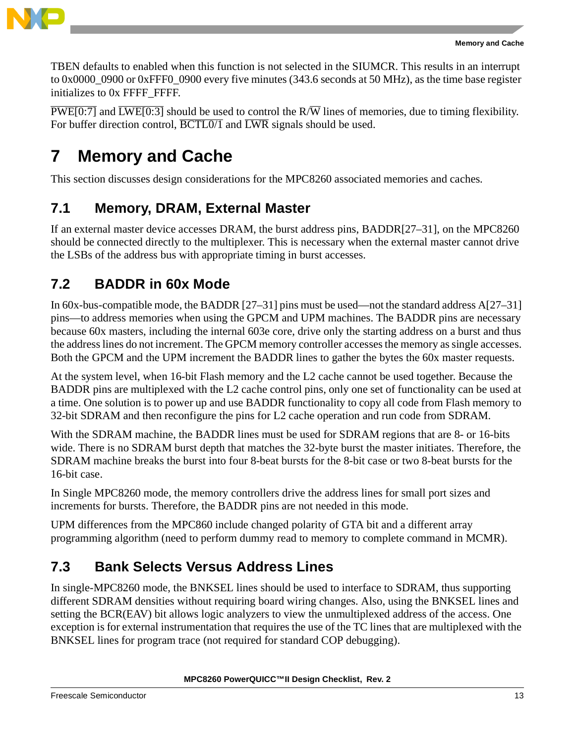

TBEN defaults to enabled when this function is not selected in the SIUMCR. This results in an interrupt to  $0x0000-0900$  or  $0xFFF0-0900$  every five minutes (343.6 seconds at 50 MHz), as the time base register initializes to 0x FFFF\_FFFF.

 $\overline{PWE[0:7]}$  and  $\overline{LWE[0:3]}$  should be used to control the R/W lines of memories, due to timing flexibility. For buffer direction control,  $\overline{BCTL0/1}$  and  $\overline{LWR}$  signals should be used.

# **7 Memory and Cache**

This section discusses design considerations for the MPC8260 associated memories and caches.

## **7.1 Memory, DRAM, External Master**

If an external master device accesses DRAM, the burst address pins, BADDR[27–31], on the MPC8260 should be connected directly to the multiplexer. This is necessary when the external master cannot drive the LSBs of the address bus with appropriate timing in burst accesses.

## **7.2 BADDR in 60x Mode**

In 60x-bus-compatible mode, the BADDR [27–31] pins must be used—not the standard address A[27–31] pins—to address memories when using the GPCM and UPM machines. The BADDR pins are necessary because 60x masters, including the internal 603e core, drive only the starting address on a burst and thus the address lines do not increment. The GPCM memory controller accesses the memory as single accesses. Both the GPCM and the UPM increment the BADDR lines to gather the bytes the 60x master requests.

At the system level, when 16-bit Flash memory and the L2 cache cannot be used together. Because the BADDR pins are multiplexed with the L2 cache control pins, only one set of functionality can be used at a time. One solution is to power up and use BADDR functionality to copy all code from Flash memory to 32-bit SDRAM and then reconfigure the pins for L2 cache operation and run code from SDRAM.

With the SDRAM machine, the BADDR lines must be used for SDRAM regions that are 8- or 16-bits wide. There is no SDRAM burst depth that matches the 32-byte burst the master initiates. Therefore, the SDRAM machine breaks the burst into four 8-beat bursts for the 8-bit case or two 8-beat bursts for the 16-bit case.

In Single MPC8260 mode, the memory controllers drive the address lines for small port sizes and increments for bursts. Therefore, the BADDR pins are not needed in this mode.

UPM differences from the MPC860 include changed polarity of GTA bit and a different array programming algorithm (need to perform dummy read to memory to complete command in MCMR).

# **7.3 Bank Selects Versus Address Lines**

In single-MPC8260 mode, the BNKSEL lines should be used to interface to SDRAM, thus supporting different SDRAM densities without requiring board wiring changes. Also, using the BNKSEL lines and setting the BCR(EAV) bit allows logic analyzers to view the unmultiplexed address of the access. One exception is for external instrumentation that requires the use of the TC lines that are multiplexed with the BNKSEL lines for program trace (not required for standard COP debugging).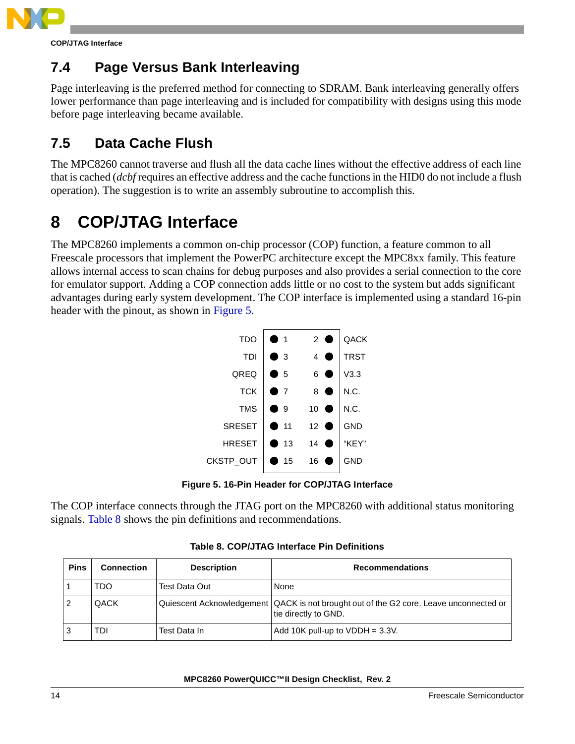

**COP/JTAG Interface**

## **7.4 Page Versus Bank Interleaving**

Page interleaving is the preferred method for connecting to SDRAM. Bank interleaving generally offers lower performance than page interleaving and is included for compatibility with designs using this mode before page interleaving became available.

# **7.5 Data Cache Flush**

The MPC8260 cannot traverse and flush all the data cache lines without the effective address of each line that is cached (*dcbf* requires an effective address and the cache functions in the HID0 do not include a flush operation). The suggestion is to write an assembly subroutine to accomplish this.

# <span id="page-13-2"></span>**8 COP/JTAG Interface**

The MPC8260 implements a common on-chip processor (COP) function, a feature common to all Freescale processors that implement the PowerPC architecture except the MPC8xx family. This feature allows internal access to scan chains for debug purposes and also provides a serial connection to the core for emulator support. Adding a COP connection adds little or no cost to the system but adds significant advantages during early system development. The COP interface is implemented using a standard 16-pin header with the pinout, as shown in [Figure 5.](#page-13-0)

| <b>TDO</b>    | ● 1              | $2$ $\bullet$  | QACK        |
|---------------|------------------|----------------|-------------|
| <b>TDI</b>    | $\bullet$ 3      | $\overline{4}$ | <b>TRST</b> |
| QREQ          | $\blacksquare$ 5 | 6              | V3.3        |
| <b>TCK</b>    | ● 7              | 8              | N.C.        |
| <b>TMS</b>    | -9               | 10             | N.C.        |
| <b>SRESET</b> | 11               | 12<br>o        | <b>GND</b>  |
| <b>HRESET</b> | -13              | 14             | "KEY"       |
| CKSTP_OUT     | -15              | 16             | <b>GND</b>  |
|               |                  |                |             |

**Figure 5. 16-Pin Header for COP/JTAG Interface**

<span id="page-13-0"></span>The COP interface connects through the JTAG port on the MPC8260 with additional status monitoring signals. [Table 8](#page-13-1) shows the pin definitions and recommendations.

<span id="page-13-1"></span>

| <b>Pins</b>    | <b>Connection</b> | <b>Description</b> | <b>Recommendations</b>                                                                                           |
|----------------|-------------------|--------------------|------------------------------------------------------------------------------------------------------------------|
|                | TDO               | Test Data Out      | None                                                                                                             |
| $\overline{2}$ | QACK              |                    | Quiescent Acknowledgement   QACK is not brought out of the G2 core. Leave unconnected or<br>tie directly to GND. |
| l 3            | TDI               | Test Data In       | Add 10K pull-up to $VDDH = 3.3V$ .                                                                               |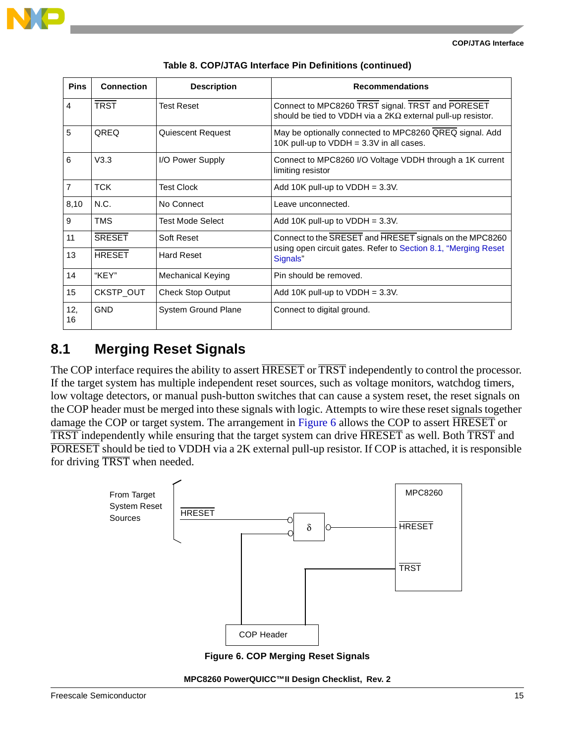| <b>Pins</b>     | <b>Connection</b> | <b>Description</b>       | <b>Recommendations</b>                                                                                                 |
|-----------------|-------------------|--------------------------|------------------------------------------------------------------------------------------------------------------------|
| $\overline{4}$  | <b>TRST</b>       | <b>Test Reset</b>        | Connect to MPC8260 TRST signal. TRST and PORESET<br>should be tied to VDDH via a $2K\Omega$ external pull-up resistor. |
| $5\overline{5}$ | QREQ              | <b>Quiescent Request</b> | May be optionally connected to MPC8260 QREQ signal. Add<br>10K pull-up to $VDDH = 3.3V$ in all cases.                  |
| $6\overline{6}$ | V3.3              | I/O Power Supply         | Connect to MPC8260 I/O Voltage VDDH through a 1K current<br>limiting resistor                                          |
| $\overline{7}$  | <b>TCK</b>        | <b>Test Clock</b>        | Add 10K pull-up to $VDDH = 3.3V$ .                                                                                     |
| 8,10            | N.C.              | No Connect               | Leave unconnected.                                                                                                     |
| 9               | <b>TMS</b>        | Test Mode Select         | Add 10K pull-up to $VDDH = 3.3V$ .                                                                                     |
| 11              | <b>SRESET</b>     | Soft Reset               | Connect to the SRESET and HRESET signals on the MPC8260                                                                |
| 13              | <b>HRESET</b>     | <b>Hard Reset</b>        | using open circuit gates. Refer to Section 8.1, "Merging Reset<br>Signals"                                             |
| 14              | "KEY"             | <b>Mechanical Keying</b> | Pin should be removed.                                                                                                 |
| 15              | CKSTP_OUT         | <b>Check Stop Output</b> | Add 10K pull-up to $VDDH = 3.3V$ .                                                                                     |
| 12,<br>16       | <b>GND</b>        | System Ground Plane      | Connect to digital ground.                                                                                             |

**Table 8. COP/JTAG Interface Pin Definitions (continued)**

### <span id="page-14-0"></span>**8.1 Merging Reset Signals**

The COP interface requires the ability to assert  $\overline{HRESET}$  or  $\overline{TRST}$  independently to control the processor. If the target system has multiple independent reset sources, such as voltage monitors, watchdog timers, low voltage detectors, or manual push-button switches that can cause a system reset, the reset signals on the COP header must be merged into these signals with logic. Attempts to wire these reset signals together damage the COP or target system. The arrangement in [Figure 6](#page-14-1) allows the COP to assert **HRESET** or TRST independently while ensuring that the target system can drive HRESET as well. Both TRST and PORESET should be tied to VDDH via a 2K external pull-up resistor. If COP is attached, it is responsible for driving TRST when needed.



**Figure 6. COP Merging Reset Signals**

<span id="page-14-1"></span>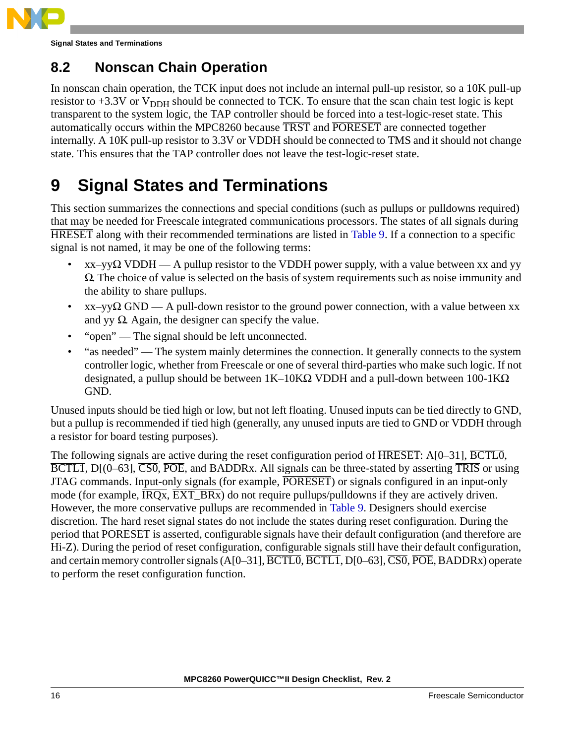

**Signal States and Terminations**

## **8.2 Nonscan Chain Operation**

In nonscan chain operation, the TCK input does not include an internal pull-up resistor, so a 10K pull-up resistor to  $+3.3V$  or  $V_{\text{DDH}}$  should be connected to TCK. To ensure that the scan chain test logic is kept transparent to the system logic, the TAP controller should be forced into a test-logic-reset state. This automatically occurs within the MPC8260 because TRST and PORESET are connected together internally. A 10K pull-up resistor to 3.3V or VDDH should be connected to TMS and it should not change state. This ensures that the TAP controller does not leave the test-logic-reset state.

# **9 Signal States and Terminations**

This section summarizes the connections and special conditions (such as pullups or pulldowns required) that may be needed for Freescale integrated communications processors. The states of all signals during HRESET along with their recommended terminations are listed in [Table 9.](#page-16-0) If a connection to a specific signal is not named, it may be one of the following terms:

- $x-xy\Omega$  VDDH A pullup resistor to the VDDH power supply, with a value between xx and yy  $\Omega$ . The choice of value is selected on the basis of system requirements such as noise immunity and the ability to share pullups.
- $x-x-y\Omega$  GND A pull-down resistor to the ground power connection, with a value between xx and yy  $\Omega$ . Again, the designer can specify the value.
- "open" The signal should be left unconnected.
- "as needed" The system mainly determines the connection. It generally connects to the system controller logic, whether from Freescale or one of several third-parties who make such logic. If not designated, a pullup should be between  $1K-10K\Omega$  VDDH and a pull-down between  $100-1K\Omega$ GND.

Unused inputs should be tied high or low, but not left floating. Unused inputs can be tied directly to GND, but a pullup is recommended if tied high (generally, any unused inputs are tied to GND or VDDH through a resistor for board testing purposes).

The following signals are active during the reset configuration period of  $\overline{HRESET}$ : A[0–31],  $\overline{BCTLO}$ , BCTL1,  $D[(0-63]$ , CS0, POE, and BADDRx. All signals can be three-stated by asserting TRIS or using JTAG commands. Input-only signals (for example, PORESET) or signals configured in an input-only mode (for example,  $\overline{IRQx}$ ,  $\overline{EXT\_BRx}$ ) do not require pullups/pulldowns if they are actively driven. However, the more conservative pullups are recommended in [Table 9](#page-16-0). Designers should exercise discretion. The hard reset signal states do not include the states during reset configuration. During the period that PORESET is asserted, configurable signals have their default configuration (and therefore are Hi-Z). During the period of reset configuration, configurable signals still have their default configuration, and certain memory controller signals  $(A[0-31], \overline{BCTL0}, \overline{BCTL1}, D[0-63], \overline{CS0}, \overline{POE}, BADDRx)$  operate to perform the reset configuration function.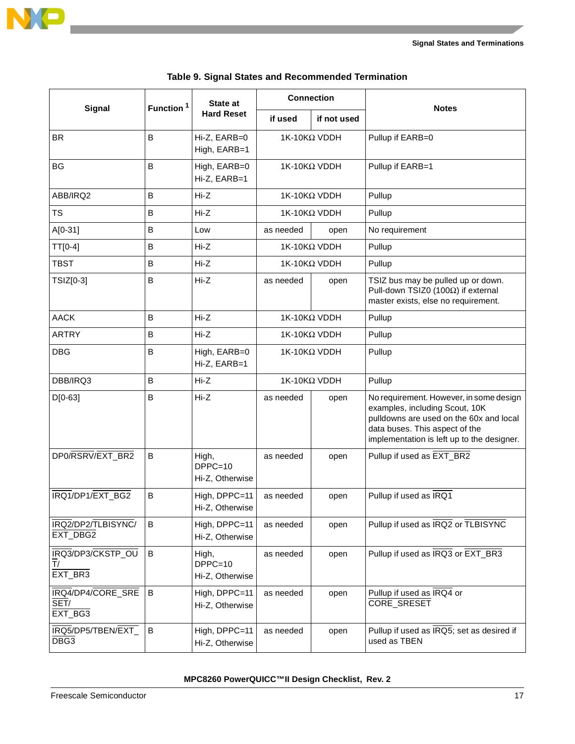

<span id="page-16-0"></span>

|                                      |                       | <b>State at</b>                       | <b>Connection</b>   |                     |                                                                                                                                                                                                      |
|--------------------------------------|-----------------------|---------------------------------------|---------------------|---------------------|------------------------------------------------------------------------------------------------------------------------------------------------------------------------------------------------------|
| Signal                               | Function <sup>1</sup> | <b>Hard Reset</b>                     | if used             | if not used         | <b>Notes</b>                                                                                                                                                                                         |
| <b>BR</b>                            | $\overline{B}$        | Hi-Z, EARB=0<br>High, EARB=1          |                     | 1K-10KΩ VDDH        | Pullup if EARB=0                                                                                                                                                                                     |
| BG                                   | B                     | High, EARB=0<br>Hi-Z, EARB=1          |                     | 1K-10KΩ VDDH        | Pullup if EARB=1                                                                                                                                                                                     |
| ABB/IRQ2                             | В                     | $Hi-Z$                                |                     | $1$ Κ-10ΚΩ VDDH     | Pullup                                                                                                                                                                                               |
| TS                                   | $\sf B$               | $Hi-Z$                                |                     | $1$ Κ-10ΚΩ VDDH     | Pullup                                                                                                                                                                                               |
| $A[0-31]$                            | В                     | Low                                   | as needed           | open                | No requirement                                                                                                                                                                                       |
| TT[0-4]                              | $\sf B$               | $Hi-Z$                                |                     | 1K-10KΩ VDDH        | Pullup                                                                                                                                                                                               |
| <b>TBST</b>                          | В                     | $Hi-Z$                                |                     | $1$ Κ-10ΚΩ VDDH     | Pullup                                                                                                                                                                                               |
| TSIZ[0-3]                            | B                     | $Hi-Z$                                | as needed           | open                | TSIZ bus may be pulled up or down.<br>Pull-down TSIZ0 (100Ω) if external<br>master exists, else no requirement.                                                                                      |
| <b>AACK</b>                          | $\sf B$               | $Hi-Z$                                | $1K-10K\Omega$ VDDH |                     | Pullup                                                                                                                                                                                               |
| <b>ARTRY</b>                         | $\sf B$               | Hi-Z                                  | $1$ Κ-10ΚΩ VDDH     |                     | Pullup                                                                                                                                                                                               |
| <b>DBG</b>                           | $\overline{B}$        | High, EARB=0<br>Hi-Z, EARB=1          | $1K-10K\Omega$ VDDH |                     | Pullup                                                                                                                                                                                               |
| DBB/IRQ3                             | B                     | $Hi-Z$                                |                     | $1K-10K\Omega$ VDDH | Pullup                                                                                                                                                                                               |
| $D[0-63]$                            | B                     | $Hi-Z$                                | as needed           | open                | No requirement. However, in some design<br>examples, including Scout, 10K<br>pulldowns are used on the 60x and local<br>data buses. This aspect of the<br>implementation is left up to the designer. |
| DP0/RSRV/EXT_BR2                     | B                     | High,<br>$DPPC=10$<br>Hi-Z, Otherwise | as needed           | open                | Pullup if used as EXT_BR2                                                                                                                                                                            |
| IRQ1/DP1/EXT BG2                     | B                     | High, DPPC=11<br>Hi-Z, Otherwise      | as needed           | open                | Pullup if used as IRQ1                                                                                                                                                                               |
| IRQ2/DP2/TLBISYNC/<br>EXT_DBG2       | B                     | High, DPPC=11<br>Hi-Z, Otherwise      | as needed           | open                | Pullup if used as IRQ2 or TLBISYNC                                                                                                                                                                   |
| IRQ3/DP3/CKSTP_OU<br>T/<br>EXT_BR3   | $\sf{B}$              | High,<br>$DPPC=10$<br>Hi-Z, Otherwise | as needed           | open                | Pullup if used as IRQ3 or EXT_BR3                                                                                                                                                                    |
| IRQ4/DP4/CORE_SRE<br>SET/<br>EXT_BG3 | B                     | High, DPPC=11<br>Hi-Z, Otherwise      | as needed           | open                | Pullup if used as IRQ4 or<br>CORE_SRESET                                                                                                                                                             |
| IRQ5/DP5/TBEN/EXT_<br>DBG3           | B                     | High, DPPC=11<br>Hi-Z, Otherwise      | as needed           | open                | Pullup if used as IRQ5; set as desired if<br>used as TBEN                                                                                                                                            |

|  |  |  |  | Table 9. Signal States and Recommended Termination |  |
|--|--|--|--|----------------------------------------------------|--|
|--|--|--|--|----------------------------------------------------|--|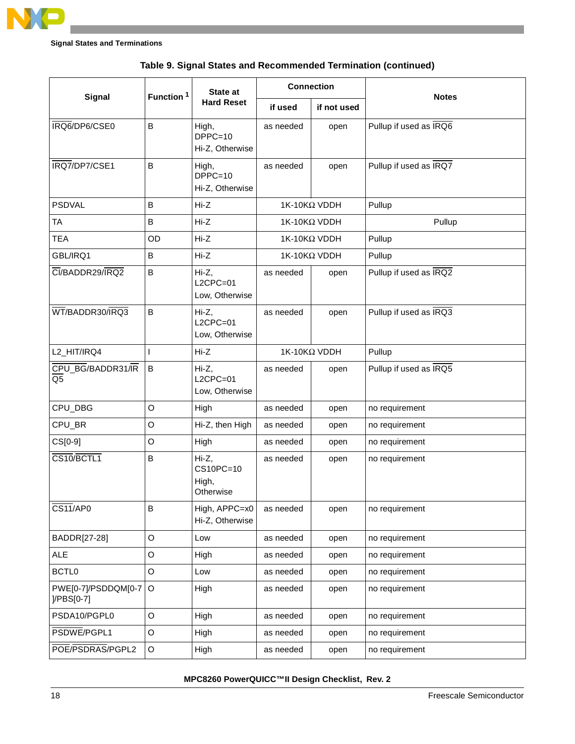

|                                         | Function <sup>1</sup> | <b>State at</b>                          | <b>Connection</b> |                     | <b>Notes</b>           |
|-----------------------------------------|-----------------------|------------------------------------------|-------------------|---------------------|------------------------|
| Signal                                  |                       | <b>Hard Reset</b>                        | if used           | if not used         |                        |
| IRQ6/DP6/CSE0                           | B                     | High,<br>$DPPC=10$<br>Hi-Z, Otherwise    | as needed         | open                | Pullup if used as IRQ6 |
| IRQ7/DP7/CSE1                           | B                     | High,<br>$DPPC=10$<br>Hi-Z, Otherwise    | as needed         | open                | Pullup if used as IRQ7 |
| <b>PSDVAL</b>                           | B                     | $Hi-Z$                                   |                   | $1K-10K\Omega$ VDDH | Pullup                 |
| TA                                      | B                     | $Hi-Z$                                   |                   | $1K-10K\Omega$ VDDH | Pullup                 |
| <b>TEA</b>                              | OD                    | $Hi-Z$                                   |                   | $1K-10K\Omega$ VDDH | Pullup                 |
| GBL/IRQ1                                | В                     | $Hi-Z$                                   |                   | $1K-10K\Omega$ VDDH | Pullup                 |
| CI/BADDR29/IRQ2                         | В                     | Hi-Z,<br>$L2CPC=01$<br>Low, Otherwise    | as needed         | open                | Pullup if used as IRQ2 |
| WT/BADDR30/IRQ3                         | B                     | Hi-Z,<br>$L2CPC=01$<br>Low, Otherwise    | as needed         | open                | Pullup if used as IRQ3 |
| L2_HIT/IRQ4                             | L                     | $Hi-Z$                                   |                   | $1K-10K\Omega$ VDDH | Pullup                 |
| CPU_BG/BADDR31/IR<br>Q <sub>5</sub>     | B                     | Hi-Z,<br>$L2CPC=01$<br>Low, Otherwise    | as needed         | open                | Pullup if used as IRQ5 |
| CPU_DBG                                 | $\mathsf O$           | High                                     | as needed         | open                | no requirement         |
| CPU_BR                                  | O                     | Hi-Z, then High                          | as needed         | open                | no requirement         |
| CS[0-9]                                 | O                     | High                                     | as needed         | open                | no requirement         |
| CS10/BCTL1                              | B                     | Hi-Z,<br>CS10PC=10<br>High,<br>Otherwise | as needed         | open                | no requirement         |
| CS11/AP0                                | B                     | High, APPC=x0<br>Hi-Z, Otherwise         | as needed         | open                | no requirement         |
| BADDR[27-28]                            | $\circ$               | Low                                      | as needed         | open                | no requirement         |
| <b>ALE</b>                              | O                     | High                                     | as needed         | open                | no requirement         |
| BCTL0                                   | O                     | Low                                      | as needed         | open                | no requirement         |
| PWE[0-7]/PSDDQM[0-7<br>$ /$ PBS $[0-7]$ | $\mathsf O$           | High                                     | as needed         | open                | no requirement         |
| PSDA10/PGPL0                            | $\mathsf O$           | High                                     | as needed         | open                | no requirement         |
| PSDWE/PGPL1                             | O                     | High                                     | as needed         | open                | no requirement         |
| POE/PSDRAS/PGPL2                        | O                     | High                                     | as needed         | open                | no requirement         |

**Table 9. Signal States and Recommended Termination (continued)**

**MPC8260 PowerQUICC™II Design Checklist, Rev. 2**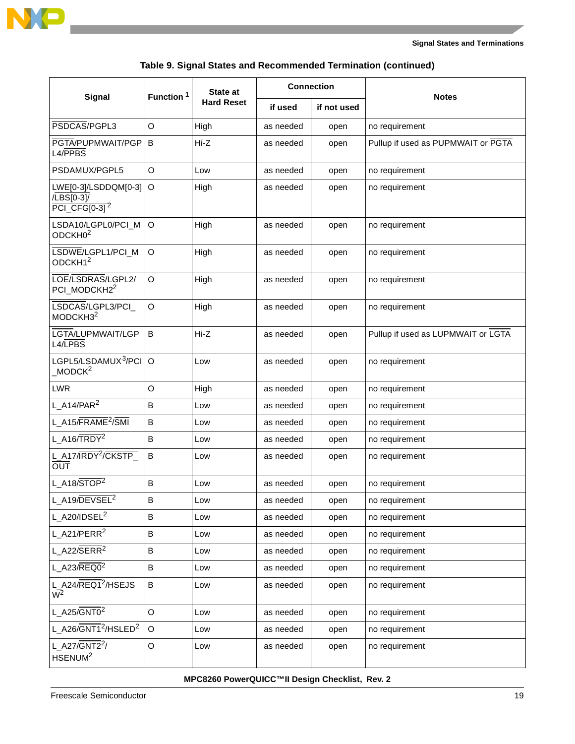

-

**Signal States and Terminations**

| Table 9. Signal States and Recommended Termination (continued) |  |
|----------------------------------------------------------------|--|
|----------------------------------------------------------------|--|

|                                                                   | Function <sup>1</sup> | <b>State at</b>   | <b>Connection</b> |             |                                    |
|-------------------------------------------------------------------|-----------------------|-------------------|-------------------|-------------|------------------------------------|
| <b>Signal</b>                                                     |                       | <b>Hard Reset</b> | if used           | if not used | <b>Notes</b>                       |
| PSDCAS/PGPL3                                                      | O                     | High              | as needed         | open        | no requirement                     |
| PGTA/PUPMWAIT/PGP<br>L4/PPBS                                      | B                     | $Hi-Z$            | as needed         | open        | Pullup if used as PUPMWAIT or PGTA |
| PSDAMUX/PGPL5                                                     | $\circ$               | Low               | as needed         | open        | no requirement                     |
| LWE[0-3]/LSDDQM[0-3]<br>/LBS[0-3]/<br>$PCI_CFG[0-3]$ <sup>2</sup> | $\circ$               | High              | as needed         | open        | no requirement                     |
| LSDA10/LGPL0/PCI_M<br>ODCKH <sub>02</sub>                         | O                     | High              | as needed         | open        | no requirement                     |
| LSDWE/LGPL1/PCI_M<br>ODCKH1 <sup>2</sup>                          | O                     | High              | as needed         | open        | no requirement                     |
| LOE/LSDRAS/LGPL2/<br>PCI_MODCKH2 <sup>2</sup>                     | $\circ$               | High              | as needed         | open        | no requirement                     |
| LSDCAS/LGPL3/PCI<br>MODCKH3 <sup>2</sup>                          | $\circ$               | High              | as needed         | open        | no requirement                     |
| LGTA/LUPMWAIT/LGP<br>L4/LPBS                                      | B                     | $Hi-Z$            | as needed         | open        | Pullup if used as LUPMWAIT or LGTA |
| LGPL5/LSDAMUX <sup>3</sup> /PCI<br>MODCK <sup>2</sup>             | $\circ$               | Low               | as needed         | open        | no requirement                     |
| <b>LWR</b>                                                        | O                     | High              | as needed         | open        | no requirement                     |
| L $A14/PAR2$                                                      | B                     | Low               | as needed         | open        | no requirement                     |
| L A15/FRAME <sup>2</sup> /SMI                                     | B                     | Low               | as needed         | open        | no requirement                     |
| L A16/TRDY <sup>2</sup>                                           | B                     | Low               | as needed         | open        | no requirement                     |
| L_A17/IRDY <sup>2</sup> /CKSTP<br><b>OUT</b>                      | B                     | Low               | as needed         | open        | no requirement                     |
| $L_A18/STOP2$                                                     | B                     | Low               | as needed         | open        | no requirement                     |
| L_A19/DEVSEL <sup>2</sup>                                         | В                     | Low               | as needed         | open        | no requirement                     |
| $L_A20/1DSEL^2$                                                   | В                     | Low               | as needed         | open        | no requirement                     |
| L A21/ $\overline{PERR}^2$                                        | B                     | Low               | as needed         | open        | no requirement                     |
| L_A22/SERR <sup>2</sup>                                           | B                     | Low               | as needed         | open        | no requirement                     |
| $L_A23/REQ0^2$                                                    | В                     | Low               | as needed         | open        | no requirement                     |
| L_A24/REQ1 <sup>2</sup> /HSEJS<br>$W^2$                           | B                     | Low               | as needed         | open        | no requirement                     |
| L_A25/GNT0 <sup>2</sup>                                           | $\mathsf O$           | Low               | as needed         | open        | no requirement                     |
| L_A26/GNT1 <sup>2</sup> /HSLED <sup>2</sup>                       | $\mathsf O$           | Low               | as needed         | open        | no requirement                     |
| L A27/GNT2 <sup>2</sup> /<br>HSENUM <sup>2</sup>                  | $\mathsf O$           | Low               | as needed         | open        | no requirement                     |

**MPC8260 PowerQUICC™II Design Checklist, Rev. 2**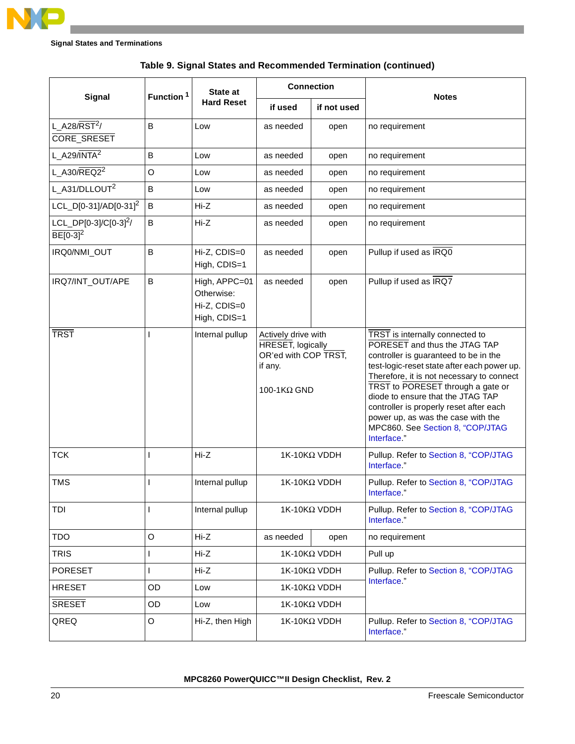

|                                         | Function <sup>1</sup> | State at                                                    | <b>Connection</b>                                                                                         |                     |                                                                                                                                                                                                                                                                                                                                                                                                                     |
|-----------------------------------------|-----------------------|-------------------------------------------------------------|-----------------------------------------------------------------------------------------------------------|---------------------|---------------------------------------------------------------------------------------------------------------------------------------------------------------------------------------------------------------------------------------------------------------------------------------------------------------------------------------------------------------------------------------------------------------------|
| Signal                                  |                       | <b>Hard Reset</b>                                           | if used                                                                                                   | if not used         | <b>Notes</b>                                                                                                                                                                                                                                                                                                                                                                                                        |
| L_A28/RST <sup>2</sup> /<br>CORE_SRESET | B                     | Low                                                         | as needed                                                                                                 | open                | no requirement                                                                                                                                                                                                                                                                                                                                                                                                      |
| L A29/INTA <sup>2</sup>                 | В                     | Low                                                         | as needed                                                                                                 | open                | no requirement                                                                                                                                                                                                                                                                                                                                                                                                      |
| $L_A30/REQ2^2$                          | O                     | Low                                                         | as needed                                                                                                 | open                | no requirement                                                                                                                                                                                                                                                                                                                                                                                                      |
| L A31/DLLOUT <sup>2</sup>               | B                     | Low                                                         | as needed                                                                                                 | open                | no requirement                                                                                                                                                                                                                                                                                                                                                                                                      |
| LCL_D[0-31]/AD[0-31] <sup>2</sup>       | В                     | $Hi-Z$                                                      | as needed                                                                                                 | open                | no requirement                                                                                                                                                                                                                                                                                                                                                                                                      |
| $LCL\_DP[0-3]/C[0-3]^2/$<br>$BE[0-3]2$  | B                     | $Hi-Z$                                                      | as needed                                                                                                 | open                | no requirement                                                                                                                                                                                                                                                                                                                                                                                                      |
| IRQ0/NMI_OUT                            | B                     | Hi-Z, CDIS=0<br>High, CDIS=1                                | as needed                                                                                                 | open                | Pullup if used as IRQ0                                                                                                                                                                                                                                                                                                                                                                                              |
| IRQ7/INT_OUT/APE                        | В                     | High, APPC=01<br>Otherwise:<br>Hi-Z, CDIS=0<br>High, CDIS=1 | as needed                                                                                                 | open                | Pullup if used as IRQ7                                                                                                                                                                                                                                                                                                                                                                                              |
| <b>TRST</b>                             |                       | Internal pullup                                             | Actively drive with<br><b>HRESET, logically</b><br>OR'ed with COP TRST,<br>if any.<br>100-1 $K\Omega$ GND |                     | TRST is internally connected to<br>PORESET and thus the JTAG TAP<br>controller is guaranteed to be in the<br>test-logic-reset state after each power up.<br>Therefore, it is not necessary to connect<br>TRST to PORESET through a gate or<br>diode to ensure that the JTAG TAP<br>controller is properly reset after each<br>power up, as was the case with the<br>MPC860. See Section 8, "COP/JTAG<br>Interface." |
| <b>TCK</b>                              | T                     | $Hi-Z$                                                      |                                                                                                           | 1K-10KΩ VDDH        | Pullup. Refer to Section 8, "COP/JTAG<br>Interface."                                                                                                                                                                                                                                                                                                                                                                |
| <b>TMS</b>                              |                       | Internal pullup                                             |                                                                                                           | $1$ Κ-10ΚΩ VDDH     | Pullup. Refer to Section 8, "COP/JTAG<br>Interface."                                                                                                                                                                                                                                                                                                                                                                |
| TDI                                     |                       | Internal pullup                                             |                                                                                                           | $1K-10K\Omega$ VDDH | Pullup. Refer to Section 8, "COP/JTAG<br>Interface."                                                                                                                                                                                                                                                                                                                                                                |
| <b>TDO</b>                              | O                     | Hi-Z                                                        | as needed                                                                                                 | open                | no requirement                                                                                                                                                                                                                                                                                                                                                                                                      |
| <b>TRIS</b>                             | L                     | Hi-Z                                                        |                                                                                                           | 1K-10KΩ VDDH        | Pull up                                                                                                                                                                                                                                                                                                                                                                                                             |
| <b>PORESET</b>                          | L                     | Hi-Z                                                        |                                                                                                           | 1K-10KΩ VDDH        | Pullup. Refer to Section 8, "COP/JTAG                                                                                                                                                                                                                                                                                                                                                                               |
| <b>HRESET</b>                           | OD                    | Low                                                         | 1K-10KΩ VDDH                                                                                              |                     | Interface."                                                                                                                                                                                                                                                                                                                                                                                                         |
| <b>SRESET</b>                           | OD                    | Low                                                         |                                                                                                           | 1K-10KΩ VDDH        |                                                                                                                                                                                                                                                                                                                                                                                                                     |
| QREQ                                    | O                     | Hi-Z, then High                                             |                                                                                                           | 1K-10KΩ VDDH        | Pullup. Refer to Section 8, "COP/JTAG<br>Interface."                                                                                                                                                                                                                                                                                                                                                                |

### **Table 9. Signal States and Recommended Termination (continued)**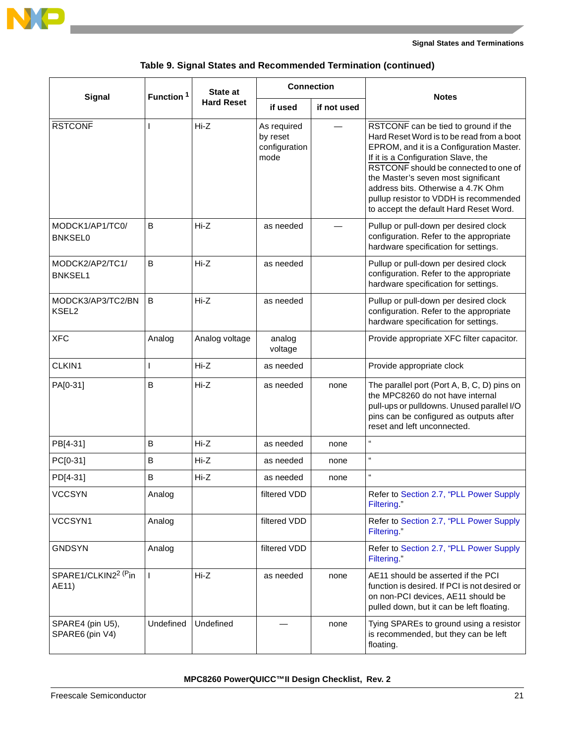

#### **Signal States and Terminations**

|                                           | Function <sup>1</sup> | State at          | <b>Connection</b>                                |             | <b>Notes</b>                                                                                                                                                                                                                                                                                                                                                                   |
|-------------------------------------------|-----------------------|-------------------|--------------------------------------------------|-------------|--------------------------------------------------------------------------------------------------------------------------------------------------------------------------------------------------------------------------------------------------------------------------------------------------------------------------------------------------------------------------------|
| Signal                                    |                       | <b>Hard Reset</b> | if used                                          | if not used |                                                                                                                                                                                                                                                                                                                                                                                |
| <b>RSTCONF</b>                            | L                     | $Hi-Z$            | As required<br>by reset<br>configuration<br>mode |             | RSTCONF can be tied to ground if the<br>Hard Reset Word is to be read from a boot<br>EPROM, and it is a Configuration Master.<br>If it is a Configuration Slave, the<br>RSTCONF should be connected to one of<br>the Master's seven most significant<br>address bits. Otherwise a 4.7K Ohm<br>pullup resistor to VDDH is recommended<br>to accept the default Hard Reset Word. |
| MODCK1/AP1/TC0/<br><b>BNKSEL0</b>         | B                     | Hi-Z              | as needed                                        |             | Pullup or pull-down per desired clock<br>configuration. Refer to the appropriate<br>hardware specification for settings.                                                                                                                                                                                                                                                       |
| MODCK2/AP2/TC1/<br><b>BNKSEL1</b>         | B                     | $Hi-Z$            | as needed                                        |             | Pullup or pull-down per desired clock<br>configuration. Refer to the appropriate<br>hardware specification for settings.                                                                                                                                                                                                                                                       |
| MODCK3/AP3/TC2/BN<br>KSEL <sub>2</sub>    | B                     | Hi-Z              | as needed                                        |             | Pullup or pull-down per desired clock<br>configuration. Refer to the appropriate<br>hardware specification for settings.                                                                                                                                                                                                                                                       |
| <b>XFC</b>                                | Analog                | Analog voltage    | analog<br>voltage                                |             | Provide appropriate XFC filter capacitor.                                                                                                                                                                                                                                                                                                                                      |
| CLKIN1                                    | L                     | $Hi-Z$            | as needed                                        |             | Provide appropriate clock                                                                                                                                                                                                                                                                                                                                                      |
| PA[0-31]                                  | B                     | $Hi-Z$            | as needed                                        | none        | The parallel port (Port A, B, C, D) pins on<br>the MPC8260 do not have internal<br>pull-ups or pulldowns. Unused parallel I/O<br>pins can be configured as outputs after<br>reset and left unconnected.                                                                                                                                                                        |
| PB[4-31]                                  | B                     | Hi-Z              | as needed                                        | none        | $\alpha$                                                                                                                                                                                                                                                                                                                                                                       |
| PC[0-31]                                  | B                     | Hi-Z              | as needed                                        | none        | $\alpha$                                                                                                                                                                                                                                                                                                                                                                       |
| PD[4-31]                                  | B                     | Hi-Z              | as needed                                        | none        | $\alpha$                                                                                                                                                                                                                                                                                                                                                                       |
| <b>VCCSYN</b>                             | Analog                |                   | filtered VDD                                     |             | Refer to Section 2.7, "PLL Power Supply<br>Filtering."                                                                                                                                                                                                                                                                                                                         |
| VCCSYN1                                   | Analog                |                   | filtered VDD                                     |             | Refer to Section 2.7, "PLL Power Supply<br>Filtering."                                                                                                                                                                                                                                                                                                                         |
| <b>GNDSYN</b>                             | Analog                |                   | filtered VDD                                     |             | Refer to Section 2.7, "PLL Power Supply<br>Filtering."                                                                                                                                                                                                                                                                                                                         |
| SPARE1/CLKIN2 <sup>2 (P</sup> in<br>AE11) | L                     | Hi-Z              | as needed                                        | none        | AE11 should be asserted if the PCI<br>function is desired. If PCI is not desired or<br>on non-PCI devices, AE11 should be<br>pulled down, but it can be left floating.                                                                                                                                                                                                         |
| SPARE4 (pin U5),<br>SPARE6 (pin V4)       | Undefined             | Undefined         |                                                  | none        | Tying SPAREs to ground using a resistor<br>is recommended, but they can be left<br>floating.                                                                                                                                                                                                                                                                                   |

**Table 9. Signal States and Recommended Termination (continued)**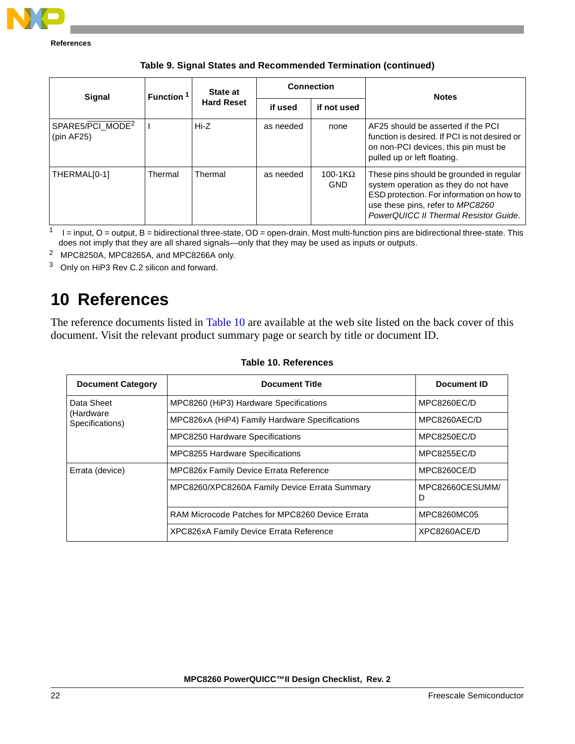

| Signal                                     | Function <sup>1</sup> | State at<br><b>Hard Reset</b> | <b>Connection</b> |                               | <b>Notes</b>                                                                                                                                                                                               |
|--------------------------------------------|-----------------------|-------------------------------|-------------------|-------------------------------|------------------------------------------------------------------------------------------------------------------------------------------------------------------------------------------------------------|
|                                            |                       |                               | if used           | if not used                   |                                                                                                                                                                                                            |
| SPARE5/PCI_MODE <sup>2</sup><br>(pin AF25) |                       | Hi-Z                          | as needed         | none                          | AF25 should be asserted if the PCI<br>function is desired. If PCI is not desired or<br>on non-PCI devices, this pin must be<br>pulled up or left floating.                                                 |
| THERMAL[0-1]                               | Thermal               | Thermal                       | as needed         | 100-1 $K\Omega$<br><b>GND</b> | These pins should be grounded in regular<br>system operation as they do not have<br>ESD protection. For information on how to<br>use these pins, refer to MPC8260<br>PowerQUICC II Thermal Resistor Guide. |

**Table 9. Signal States and Recommended Termination (continued)**

 $1 - 1 =$  input, O = output, B = bidirectional three-state, OD = open-drain. Most multi-function pins are bidirectional three-state. This does not imply that they are all shared signals—only that they may be used as inputs or outputs.

2 MPC8250A, MPC8265A, and MPC8266A only.

<sup>3</sup> Only on HiP3 Rev C.2 silicon and forward.

# <span id="page-21-0"></span>**10 References**

The reference documents listed in [Table 10](#page-21-1) are available at the web site listed on the back cover of this document. Visit the relevant product summary page or search by title or document ID.

<span id="page-21-1"></span>

| <b>Document Category</b>                   | <b>Document Title</b>                           | Document ID          |
|--------------------------------------------|-------------------------------------------------|----------------------|
| Data Sheet<br>(Hardware<br>Specifications) | MPC8260 (HiP3) Hardware Specifications          | MPC8260EC/D          |
|                                            | MPC826xA (HiP4) Family Hardware Specifications  | MPC8260AEC/D         |
|                                            | MPC8250 Hardware Specifications                 | MPC8250EC/D          |
|                                            | <b>MPC8255 Hardware Specifications</b>          | <b>MPC8255EC/D</b>   |
| Errata (device)                            | MPC826x Family Device Errata Reference          | MPC8260CE/D          |
|                                            | MPC8260/XPC8260A Family Device Errata Summary   | MPC82660CESUMM/<br>D |
|                                            | RAM Microcode Patches for MPC8260 Device Errata | MPC8260MC05          |
|                                            | XPC826xA Family Device Errata Reference         | XPC8260ACE/D         |

#### **Table 10. References**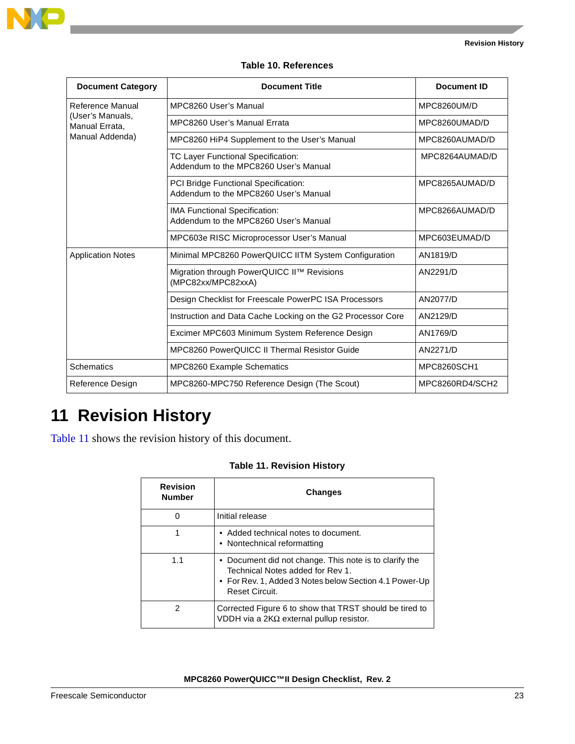

### **Table 10. References**

| <b>Document Category</b>                                                  | <b>Document Title</b>                                                              | Document ID     |
|---------------------------------------------------------------------------|------------------------------------------------------------------------------------|-----------------|
| Reference Manual<br>(User's Manuals,<br>Manual Errata.<br>Manual Addenda) | MPC8260 User's Manual                                                              | MPC8260UM/D     |
|                                                                           | MPC8260 User's Manual Errata                                                       | MPC8260UMAD/D   |
|                                                                           | MPC8260 HiP4 Supplement to the User's Manual                                       | MPC8260AUMAD/D  |
|                                                                           | <b>TC Layer Functional Specification:</b><br>Addendum to the MPC8260 User's Manual | MPC8264AUMAD/D  |
|                                                                           | PCI Bridge Functional Specification:<br>Addendum to the MPC8260 User's Manual      | MPC8265AUMAD/D  |
|                                                                           | IMA Functional Specification:<br>Addendum to the MPC8260 User's Manual             | MPC8266AUMAD/D  |
|                                                                           | MPC603e RISC Microprocessor User's Manual                                          | MPC603EUMAD/D   |
| <b>Application Notes</b>                                                  | Minimal MPC8260 PowerQUICC IITM System Configuration                               | AN1819/D        |
|                                                                           | Migration through PowerQUICC II™ Revisions<br>(MPC82xx/MPC82xxA)                   | AN2291/D        |
|                                                                           | Design Checklist for Freescale PowerPC ISA Processors                              | AN2077/D        |
|                                                                           | Instruction and Data Cache Locking on the G2 Processor Core                        | AN2129/D        |
|                                                                           | Excimer MPC603 Minimum System Reference Design                                     | AN1769/D        |
|                                                                           | <b>MPC8260 PowerQUICC II Thermal Resistor Guide</b>                                | AN2271/D        |
| <b>Schematics</b>                                                         | MPC8260 Example Schematics                                                         | MPC8260SCH1     |
| Reference Design                                                          | MPC8260-MPC750 Reference Design (The Scout)                                        | MPC8260RD4/SCH2 |

# **11 Revision History**

<span id="page-22-0"></span>[Table 11](#page-22-0) shows the revision history of this document.

| <b>Table 11. Revision History</b> |  |
|-----------------------------------|--|
|-----------------------------------|--|

| <b>Revision</b><br><b>Number</b> | <b>Changes</b>                                                                                                                                                                |
|----------------------------------|-------------------------------------------------------------------------------------------------------------------------------------------------------------------------------|
| 0                                | Initial release                                                                                                                                                               |
|                                  | • Added technical notes to document.<br>• Nontechnical reformatting                                                                                                           |
| 1.1                              | • Document did not change. This note is to clarify the<br>Technical Notes added for Rev 1.<br>• For Rev. 1, Added 3 Notes below Section 4.1 Power-Up<br><b>Reset Circuit.</b> |
| 2                                | Corrected Figure 6 to show that TRST should be tired to<br>VDDH via a $2K\Omega$ external pullup resistor.                                                                    |